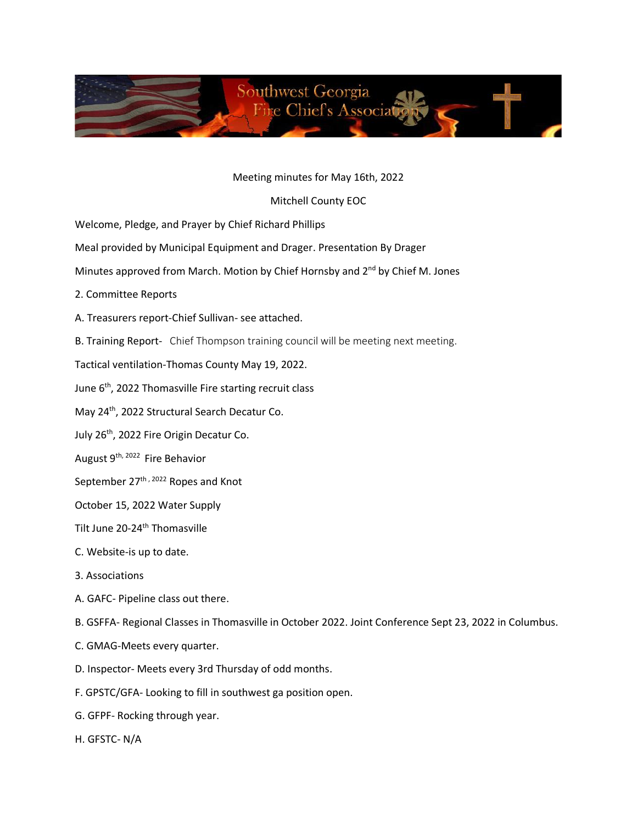

## Meeting minutes for May 16th, 2022

## Mitchell County EOC

Welcome, Pledge, and Prayer by Chief Richard Phillips

- Meal provided by Municipal Equipment and Drager. Presentation By Drager
- Minutes approved from March. Motion by Chief Hornsby and 2<sup>nd</sup> by Chief M. Jones
- 2. Committee Reports
- A. Treasurers report-Chief Sullivan- see attached.
- B. Training Report- Chief Thompson training council will be meeting next meeting.
- Tactical ventilation-Thomas County May 19, 2022.
- June 6<sup>th</sup>, 2022 Thomasville Fire starting recruit class
- May 24th, 2022 Structural Search Decatur Co.
- July 26<sup>th</sup>, 2022 Fire Origin Decatur Co.
- August 9<sup>th, 2022</sup> Fire Behavior
- September 27<sup>th, 2022</sup> Ropes and Knot
- October 15, 2022 Water Supply
- Tilt June 20-24<sup>th</sup> Thomasville
- C. Website-is up to date.
- 3. Associations
- A. GAFC- Pipeline class out there.
- B. GSFFA- Regional Classes in Thomasville in October 2022. Joint Conference Sept 23, 2022 in Columbus.
- C. GMAG-Meets every quarter.
- D. Inspector- Meets every 3rd Thursday of odd months.
- F. GPSTC/GFA- Looking to fill in southwest ga position open.
- G. GFPF- Rocking through year.
- H. GFSTC- N/A